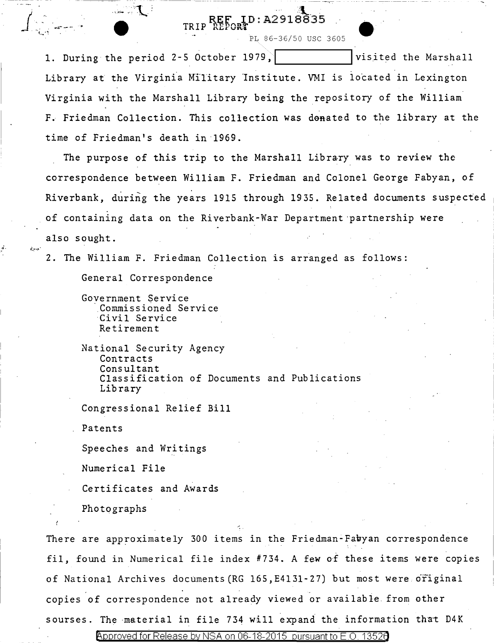## REF ID: A2918835

PL 86-36/50 USC 3605

1. During the period 2-5 October 1979, | | | visited the Marshall Library at the Virginia Military Institute. VMI is located in Lexington Virginia with the Marshall Library being the repository of the William F. Friedman Collection. This collection was donated to the library at the time of Friedman's death in·l969.

. The purpose of this trip to the Marshall Library was to review the correspondence between William F. Friedman and Colonel George Fabyan, of Riverbank, during the years 1915 through 1935. Related documents suspected of containing data on the Riverbank-War Department ·partnership were also sought.

2. The William F. Friedman Collection is arranged as follows:

General Correspondence

 $\mathcal{L}$ 

e

National Security Agency Contracts Consultant Classification of Documents and Publications Library

Congressional Relief Bill

Patents

*j*

\l- *(-\_'; ......* 

*.* ,., . "

... t ... ·"! *..* ::::--···

Speeches and Writings

Numerical File

Certificates and Awards

Photographs

There are approximately 300 items in the Friedman-Fabyan correspondence fil, found in Numerical file index  $#734$ . A few of these items were copies of National Archives documents(RG 165,E4131-27) but most were original copies of correspondence not already viewed or availabie from other sourses. The material in file 734 will expand the information that D4K

Government Service .Commissioned Service Civil Service Retirement